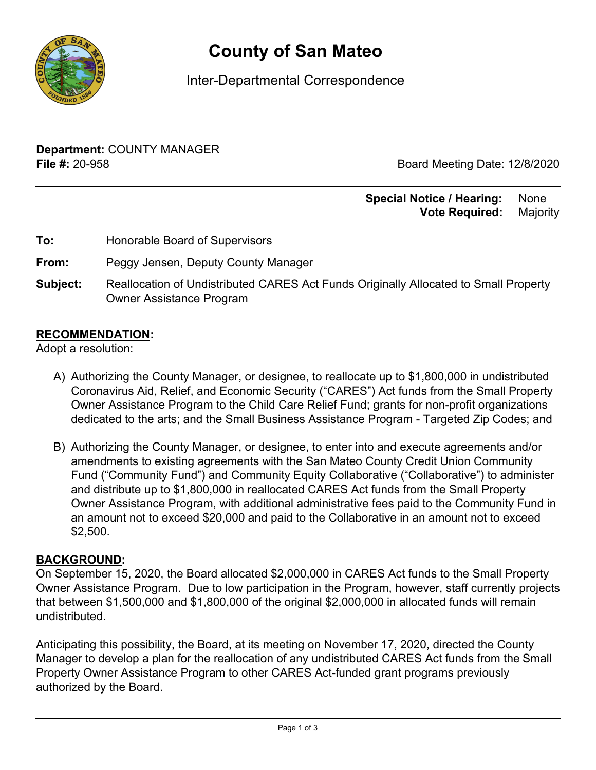

# **County of San Mateo**

Inter-Departmental Correspondence

**Department:** COUNTY MANAGER **File #:** 20-958 Board Meeting Date: 12/8/2020

#### **Special Notice / Hearing: None Vote Required:** Majority

**To:** Honorable Board of Supervisors

**From:** Peggy Jensen, Deputy County Manager

**Subject:** Reallocation of Undistributed CARES Act Funds Originally Allocated to Small Property Owner Assistance Program

### **RECOMMENDATION:**

Adopt a resolution:

- A) Authorizing the County Manager, or designee, to reallocate up to \$1,800,000 in undistributed Coronavirus Aid, Relief, and Economic Security ("CARES") Act funds from the Small Property Owner Assistance Program to the Child Care Relief Fund; grants for non-profit organizations dedicated to the arts; and the Small Business Assistance Program - Targeted Zip Codes; and
- B) Authorizing the County Manager, or designee, to enter into and execute agreements and/or amendments to existing agreements with the San Mateo County Credit Union Community Fund ("Community Fund") and Community Equity Collaborative ("Collaborative") to administer and distribute up to \$1,800,000 in reallocated CARES Act funds from the Small Property Owner Assistance Program, with additional administrative fees paid to the Community Fund in an amount not to exceed \$20,000 and paid to the Collaborative in an amount not to exceed \$2,500.

#### **BACKGROUND:**

On September 15, 2020, the Board allocated \$2,000,000 in CARES Act funds to the Small Property Owner Assistance Program. Due to low participation in the Program, however, staff currently projects that between \$1,500,000 and \$1,800,000 of the original \$2,000,000 in allocated funds will remain undistributed.

Anticipating this possibility, the Board, at its meeting on November 17, 2020, directed the County Manager to develop a plan for the reallocation of any undistributed CARES Act funds from the Small Property Owner Assistance Program to other CARES Act-funded grant programs previously authorized by the Board.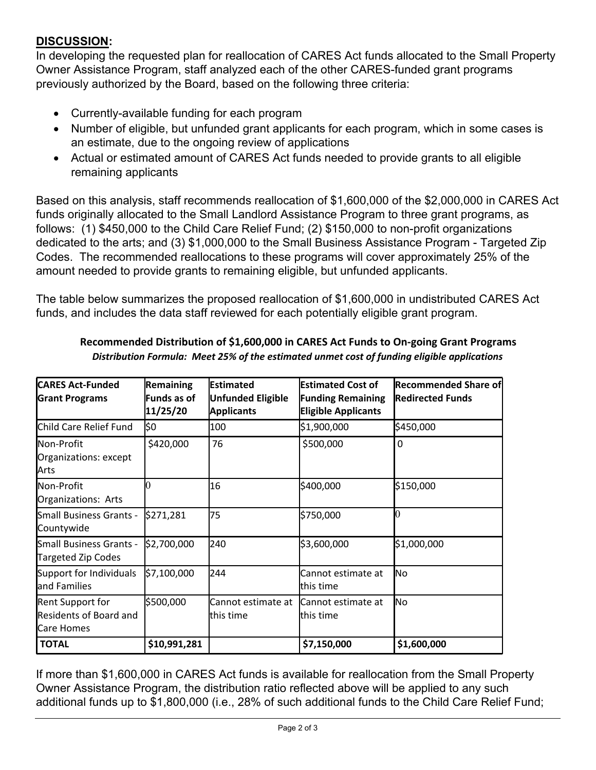## **DISCUSSION:**

In developing the requested plan for reallocation of CARES Act funds allocated to the Small Property Owner Assistance Program, staff analyzed each of the other CARES-funded grant programs previously authorized by the Board, based on the following three criteria:

- · Currently-available funding for each program
- · Number of eligible, but unfunded grant applicants for each program, which in some cases is an estimate, due to the ongoing review of applications
- · Actual or estimated amount of CARES Act funds needed to provide grants to all eligible remaining applicants

Based on this analysis, staff recommends reallocation of \$1,600,000 of the \$2,000,000 in CARES Act funds originally allocated to the Small Landlord Assistance Program to three grant programs, as follows: (1) \$450,000 to the Child Care Relief Fund; (2) \$150,000 to non-profit organizations dedicated to the arts; and (3) \$1,000,000 to the Small Business Assistance Program - Targeted Zip Codes. The recommended reallocations to these programs will cover approximately 25% of the amount needed to provide grants to remaining eligible, but unfunded applicants.

The table below summarizes the proposed reallocation of \$1,600,000 in undistributed CARES Act funds, and includes the data staff reviewed for each potentially eligible grant program.

| <b>CARES Act-Funded</b><br><b>Grant Programs</b>                                | Remaining<br>Funds as of<br>11/25/20 | <b>Estimated</b><br><b>Unfunded Eligible</b><br><b>Applicants</b> | <b>Estimated Cost of</b><br><b>Funding Remaining</b><br><b>Eligible Applicants</b> | <b>Recommended Share of</b><br><b>Redirected Funds</b> |
|---------------------------------------------------------------------------------|--------------------------------------|-------------------------------------------------------------------|------------------------------------------------------------------------------------|--------------------------------------------------------|
| Child Care Relief Fund                                                          | \$0                                  | 100                                                               | \$1,900,000                                                                        | \$450,000                                              |
| Non-Profit<br>Organizations: except<br>Arts                                     | \$420,000                            | 76                                                                | \$500,000                                                                          | 0                                                      |
| Non-Profit<br>Organizations: Arts                                               | 0                                    | 16                                                                | \$400,000                                                                          | \$150,000                                              |
| Small Business Grants -<br>Countywide                                           | \$271,281                            | 75                                                                | \$750,000                                                                          |                                                        |
| Small Business Grants -<br>Targeted Zip Codes                                   | \$2,700,000                          | 240                                                               | \$3,600,000                                                                        | \$1,000,000                                            |
| Support for Individuals<br>and Families                                         | \$7,100,000                          | 244                                                               | Cannot estimate at<br>this time                                                    | No                                                     |
| <b>Rent Support for</b><br><b>Residents of Board and</b><br><b>I</b> Care Homes | \$500,000                            | Cannot estimate at<br>lthis time                                  | Cannot estimate at<br>this time                                                    | No                                                     |
| <b>TOTAL</b>                                                                    | \$10,991,281                         |                                                                   | \$7,150,000                                                                        | \$1,600,000                                            |

#### **Recommended Distribution of \$1,600,000 in CARES Act Funds to On-going Grant Programs** *Distribution Formula: Meet 25% of the estimated unmet cost of funding eligible applications*

If more than \$1,600,000 in CARES Act funds is available for reallocation from the Small Property Owner Assistance Program, the distribution ratio reflected above will be applied to any such additional funds up to \$1,800,000 (i.e., 28% of such additional funds to the Child Care Relief Fund;